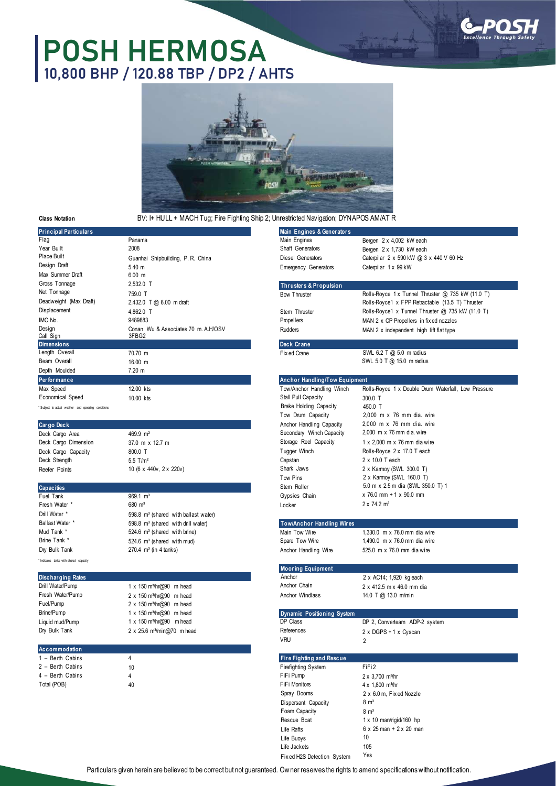

## **POSH HERMOSA 10,800 BHP / 120.88 TBP / DP2 / AHTS**



## **Class Notation**

## BV: I+ HULL + MACH Tug; Fire Fighting Ship 2; Unrestricted Navigation; DYNAPOS AM/AT R

| <b>Principal Particulars</b>                        |                                                  | Main Engines & Generators            |                                                              |
|-----------------------------------------------------|--------------------------------------------------|--------------------------------------|--------------------------------------------------------------|
| Flag                                                | Panama                                           | Main Engines                         | Bergen 2 x 4,002 kW each                                     |
| Year Built                                          | 2008                                             | Shaft Generators                     | Bergen 2 x 1,730 kW each                                     |
| Place Built                                         | Guanhai Shipbuilding, P. R. China                | <b>Diesel Generators</b>             | Caterpilar 2 x 590 kW @ 3 x 440 V 60 Hz                      |
| Design Draft                                        | 5.40 m                                           | <b>Emergency Generators</b>          | Caterpilar 1 x 99 kW                                         |
| Max Summer Draft                                    | $6.00 \, m$                                      |                                      |                                                              |
| Gross Tonnage                                       | 2.532.0 T                                        | <b>Thrusters &amp; Propulsion</b>    |                                                              |
| Net Tonnage                                         | 759.0 T                                          | <b>Bow Thruster</b>                  | Rolls-Royce 1 x Tunnel Thruster @ 735 kW (11.0 T)            |
| Deadweight (Max Draft)                              | 2,432.0 T @ 6.00 m draft                         |                                      | Rolls-Royce1 x FPP Retractable (13.5 T) Thruster             |
| Displacement                                        | 4,862.0 T                                        | Stem Thruster                        | Rolls-Royce1 x Tunnel Thruster @ 735 kW (11.0 T)             |
| IMO No.                                             | 9489883                                          | Propellers                           |                                                              |
| Design                                              | Conan Wu & Associates 70 m. A.H/OSV              | Rudders                              | MAN 2 x CP Propellers in fix ed nozzles                      |
| Call Sign                                           | 3FBG2                                            |                                      | MAN 2 x independent high lift flat type                      |
| <b>Dimensions</b>                                   |                                                  | Deck Crane                           |                                                              |
| Length Overall                                      | 70.70 m                                          | Fix ed Crane                         | SWL 6.2 T @ 5.0 m radius                                     |
| Beam Overall                                        | 16.00 m                                          |                                      | SWL 5.0 T @ 15.0 m radius                                    |
| Depth Moulded                                       | $7.20 \text{ m}$                                 |                                      |                                                              |
| Performance                                         |                                                  | <b>Anchor Handling/Tow Equipment</b> |                                                              |
| Max Speed                                           | 12.00 kts                                        | Tow/Anchor Handling Winch            | Rolls-Royce 1 x Double Drum Waterfall, Low Pressure          |
| Economical Speed                                    | 10.00 kts                                        | Stall Pull Capacity                  | 300.0 T                                                      |
| "Subject to actual weather and operating conditions |                                                  | <b>Brake Holding Capacity</b>        | 450.0 T                                                      |
|                                                     |                                                  | Tow Drum Capacity                    | 2,000 m x 76 mm dia. wire                                    |
| Cargo Deck                                          |                                                  | Anchor Handling Capacity             | $2.000$ m x 76 mm dia. wire                                  |
|                                                     | 469.9 m <sup>2</sup>                             | Secondary Winch Capacity             | $2.000$ m x 76 mm dia, wire                                  |
| Deck Cargo Area<br>Deck Cargo Dimension             |                                                  | Storage Reel Capacity                | 1 x 2,000 m x 76 mm dia wire                                 |
|                                                     | 37.0 m x 12.7 m                                  | Tugger Winch                         |                                                              |
| Deck Cargo Capacity<br>Deck Strength                | 800.0 T                                          |                                      | Rolls-Royce 2 x 17.0 T each<br>2 x 10.0 T each               |
|                                                     | $5.5$ T/m <sup>2</sup>                           | Capstan                              |                                                              |
| Reefer Points                                       | 10 (6 x 440v, 2 x 220v)                          | Shark Jaws                           | 2 x Kamoy (SWL 300.0 T)                                      |
|                                                     |                                                  | Tow Pins                             | 2 x Kamoy (SWL 160.0 T)<br>5.0 m x 2.5 m dia (SWL 350.0 T) 1 |
| <b>Capacities</b>                                   |                                                  | Stem Roller                          | $x$ 76.0 mm + 1 $x$ 90.0 mm                                  |
| Fuel Tank                                           | $969.1 \text{ m}^3$                              | Gypsies Chain                        |                                                              |
| Fresh Water *                                       | $680 \; \text{m}^3$                              | Locker                               | $2 \times 74.2$ m <sup>3</sup>                               |
| Drill Water *                                       | 598.8 m <sup>3</sup> (shared with ballast water) |                                      |                                                              |
| Ballast Water *                                     | 598.8 m <sup>3</sup> (shared with drill water)   | <b>Tow/Anchor Handling Wires</b>     |                                                              |
| Mud Tank *                                          | 524.6 $m3$ (shared with brine)                   | Main Tow Wire                        | 1,330.0 m x 76.0 mm dia wire                                 |
| Brine Tank *                                        | 524.6 $m3$ (shared with mud)                     | Spare Tow Wire                       | 1,490.0 m x 76.0 mm dia wire                                 |
| Dry Bulk Tank                                       | 270.4 $m^3$ (in 4 tanks)                         | Anchor Handling Wire                 | 525.0 m x 76.0 mm dia wire                                   |
| Indicates tanks with shared capacity                |                                                  |                                      |                                                              |
|                                                     |                                                  | <b>Mooring Equipment</b>             |                                                              |
| <b>Discharging Rates</b>                            |                                                  | Anchor                               | 2 x AC14; 1,920 kg each                                      |
| Drill Water/Pump                                    | 1 x 150 m <sup>3</sup> /hr@90 m head             | Anchor Chain                         | 2 x 412.5 m x 46.0 mm dia                                    |
| Fresh Water/Pump                                    | 2 x 150 m <sup>3</sup> /hr@90 m head             | Anchor Windlass                      | 14.0 T @ 13.0 m/min                                          |
| Fuel/Pump                                           | 2 x 150 m <sup>3</sup> /hr@90 m head             |                                      |                                                              |
| Brine/Pump                                          | 1 x 150 m <sup>3</sup> /hr@90 m head             | <b>Dynamic Positioning System</b>    |                                                              |
| Liquid mud/Pump                                     | 1 x 150 m <sup>3</sup> /hr@90 m head             | DP Class                             | DP 2, Converteam ADP-2 system                                |
| Dry Bulk Tank                                       | 2 x 25.6 m <sup>3</sup> /min@70 m head           | References                           | 2 x DGPS + 1 x Cyscan                                        |
|                                                     |                                                  | <b>VRU</b>                           | 2                                                            |
| Accommodation                                       |                                                  |                                      |                                                              |
| 1 - Berth Cabins                                    | 4                                                | Fire Fighting and Rescue             |                                                              |
| 2 - Berth Cabins                                    | 10                                               | Firefighting System                  | FiFi2                                                        |
| 4 - Berth Cabins                                    | 4                                                | FiFi Pump                            | 2 x 3,700 m <sup>3</sup> /hr                                 |
| Total (POB)                                         | 40                                               | FiFi Monitors                        | $4 \times 1,800$ m <sup>3</sup> /hr                          |
|                                                     |                                                  | Spray Booms                          | 2 x 6.0 m, Fixed Nozzle                                      |
|                                                     |                                                  | Dispersant Capacity                  | $8 \text{ m}^3$                                              |
|                                                     |                                                  | Foam Capacity                        | 8 m <sup>3</sup>                                             |
|                                                     |                                                  |                                      |                                                              |

Particulars given herein are believed to be correct but not guaranteed. Ow ner reserves the rights to amend specifications without notification.

Rescue Boat Life Rafts Life Buoys Life Jackets

Fix ed H2S Detection System

1 x 10 man/rigid/160 hp 6 x 25 man + 2 x 20 man

10 105 Yes